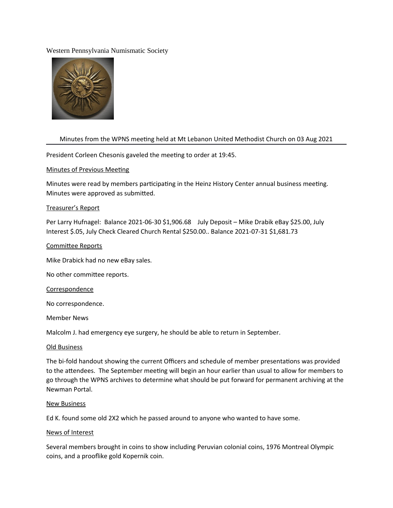## Western Pennsylvania Numismatic Society



# Minutes from the WPNS meeting held at Mt Lebanon United Methodist Church on 03 Aug 2021

President Corleen Chesonis gaveled the meeting to order at 19:45.

## Minutes of Previous Meeting

Minutes were read by members participating in the Heinz History Center annual business meeting. Minutes were approved as submitted.

## Treasurer's Report

Per Larry Hufnagel: Balance 2021-06-30 \$1,906.68 July Deposit – Mike Drabik eBay \$25.00, July Interest \$.05, July Check Cleared Church Rental \$250.00.. Balance 2021-07-31 \$1,681.73

## Commitee Reports

Mike Drabick had no new eBay sales.

No other commitee reports.

#### Correspondence

No correspondence.

#### Member News

Malcolm J. had emergency eye surgery, he should be able to return in September.

#### Old Business

The bi-fold handout showing the current Officers and schedule of member presentations was provided to the attendees. The September meeting will begin an hour earlier than usual to allow for members to go through the WPNS archives to determine what should be put forward for permanent archiving at the Newman Portal.

#### New Business

Ed K. found some old 2X2 which he passed around to anyone who wanted to have some.

#### News of Interest

Several members brought in coins to show including Peruvian colonial coins, 1976 Montreal Olympic coins, and a prooflike gold Kopernik coin.